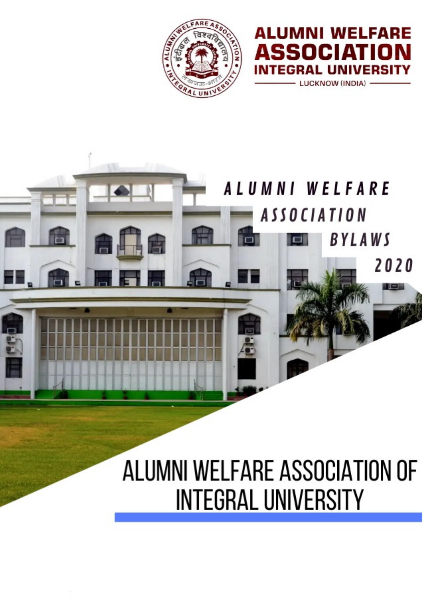

**ALUMNI WELFARE** 

м

**ICKNOW (INDIA)** 

4

п

SSI

TFGRA

Δ

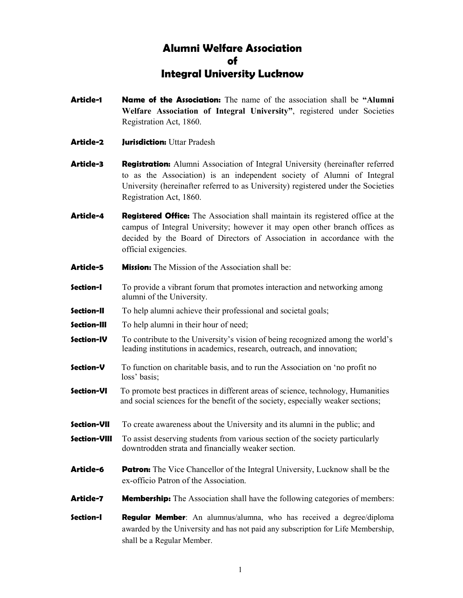# Alumni Welfare Association of Integral University Lucknow

- Article-1 **Name of the Association:** The name of the association shall be "Alumni Welfare Association of Integral University", registered under Societies Registration Act, 1860.
- Article-2 Jurisdiction: Uttar Pradesh
- **Article-3** Registration: Alumni Association of Integral University (hereinafter referred to as the Association) is an independent society of Alumni of Integral University (hereinafter referred to as University) registered under the Societies Registration Act, 1860.
- Article-4 Registered Office: The Association shall maintain its registered office at the campus of Integral University; however it may open other branch offices as decided by the Board of Directors of Association in accordance with the official exigencies.
- Article-5 Mission: The Mission of the Association shall be:
- **Section-I** To provide a vibrant forum that promotes interaction and networking among alumni of the University.
- **Section-II** To help alumni achieve their professional and societal goals;
- **Section-III** To help alumni in their hour of need;
- **Section-IV** To contribute to the University's vision of being recognized among the world's leading institutions in academics, research, outreach, and innovation;
- **Section-V** To function on charitable basis, and to run the Association on 'no profit no loss' basis;
- **Section-VI** To promote best practices in different areas of science, technology, Humanities and social sciences for the benefit of the society, especially weaker sections;
- **Section-VII** To create awareness about the University and its alumni in the public; and
- **Section-VIII** To assist deserving students from various section of the society particularly downtrodden strata and financially weaker section.
- **Article-6** Patron: The Vice Chancellor of the Integral University, Lucknow shall be the ex-officio Patron of the Association.
- Article-7 Membership: The Association shall have the following categories of members:
- **Section-I Regular Member**: An alumnus/alumna, who has received a degree/diploma awarded by the University and has not paid any subscription for Life Membership, shall be a Regular Member.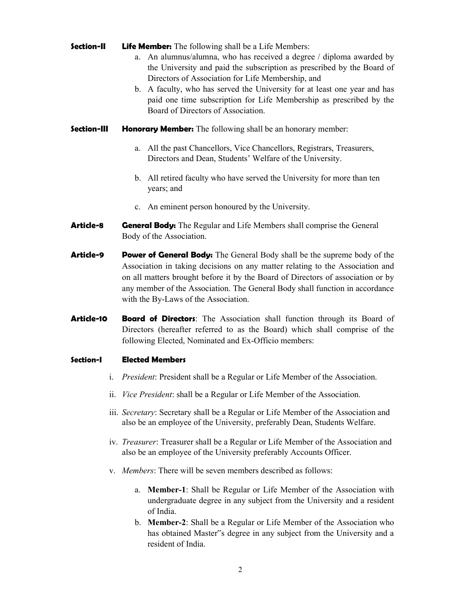**Section-II** Life Member: The following shall be a Life Members:

- a. An alumnus/alumna, who has received a degree / diploma awarded by the University and paid the subscription as prescribed by the Board of Directors of Association for Life Membership, and
- b. A faculty, who has served the University for at least one year and has paid one time subscription for Life Membership as prescribed by the Board of Directors of Association.
- **Section-III Honorary Member:** The following shall be an honorary member:
	- a. All the past Chancellors, Vice Chancellors, Registrars, Treasurers, Directors and Dean, Students' Welfare of the University.
	- b. All retired faculty who have served the University for more than ten years; and
	- c. An eminent person honoured by the University.
- **Article-8** General Body: The Regular and Life Members shall comprise the General Body of the Association.
- Article-9 Power of General Body: The General Body shall be the supreme body of the Association in taking decisions on any matter relating to the Association and on all matters brought before it by the Board of Directors of association or by any member of the Association. The General Body shall function in accordance with the By-Laws of the Association.
- **Article-10 Board of Directors:** The Association shall function through its Board of Directors (hereafter referred to as the Board) which shall comprise of the following Elected, Nominated and Ex-Officio members:

## Section-I Elected Members

- i. President: President shall be a Regular or Life Member of the Association.
- ii. Vice President: shall be a Regular or Life Member of the Association.
- iii. Secretary: Secretary shall be a Regular or Life Member of the Association and also be an employee of the University, preferably Dean, Students Welfare.
- iv. Treasurer: Treasurer shall be a Regular or Life Member of the Association and also be an employee of the University preferably Accounts Officer.
- v. Members: There will be seven members described as follows:
	- a. Member-1: Shall be Regular or Life Member of the Association with undergraduate degree in any subject from the University and a resident of India.
	- b. Member-2: Shall be a Regular or Life Member of the Association who has obtained Master"s degree in any subject from the University and a resident of India.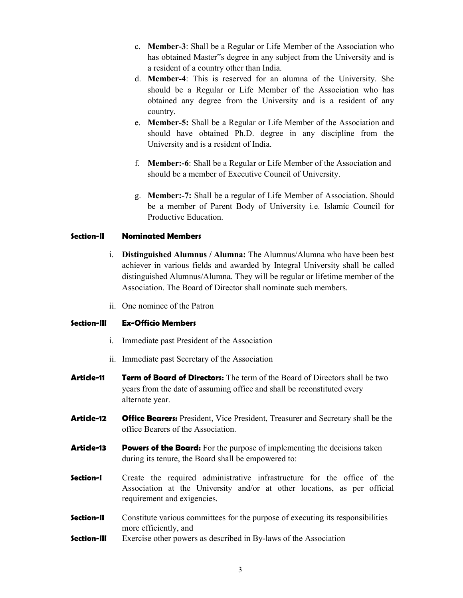- c. Member-3: Shall be a Regular or Life Member of the Association who has obtained Master"s degree in any subject from the University and is a resident of a country other than India.
- d. Member-4: This is reserved for an alumna of the University. She should be a Regular or Life Member of the Association who has obtained any degree from the University and is a resident of any country.
- e. Member-5: Shall be a Regular or Life Member of the Association and should have obtained Ph.D. degree in any discipline from the University and is a resident of India.
- f. Member:-6: Shall be a Regular or Life Member of the Association and should be a member of Executive Council of University.
- g. Member:-7: Shall be a regular of Life Member of Association. Should be a member of Parent Body of University i.e. Islamic Council for Productive Education.

## Section-II Nominated Members

- i. Distinguished Alumnus / Alumna: The Alumnus/Alumna who have been best achiever in various fields and awarded by Integral University shall be called distinguished Alumnus/Alumna. They will be regular or lifetime member of the Association. The Board of Director shall nominate such members.
- ii. One nominee of the Patron

## Section-III Ex-Officio Members

- i. Immediate past President of the Association
- ii. Immediate past Secretary of the Association
- Article-11 Term of Board of Directors: The term of the Board of Directors shall be two years from the date of assuming office and shall be reconstituted every alternate year.
- Article-12 Office Bearers: President, Vice President, Treasurer and Secretary shall be the office Bearers of the Association.
- **Article-13** Powers of the Board: For the purpose of implementing the decisions taken during its tenure, the Board shall be empowered to:
- **Section-I** Create the required administrative infrastructure for the office of the Association at the University and/or at other locations, as per official requirement and exigencies.
- **Section-II** Constitute various committees for the purpose of executing its responsibilities more efficiently, and
- **Section-III** Exercise other powers as described in By-laws of the Association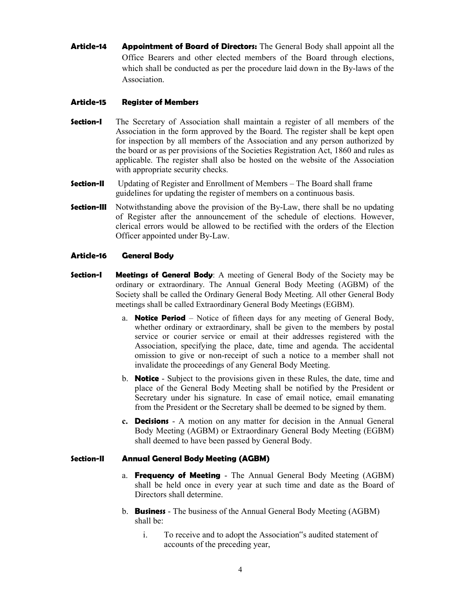**Article-14** Appointment of Board of Directors: The General Body shall appoint all the Office Bearers and other elected members of the Board through elections, which shall be conducted as per the procedure laid down in the By-laws of the Association.

## Article-15 Register of Members

- **Section-I** The Secretary of Association shall maintain a register of all members of the Association in the form approved by the Board. The register shall be kept open for inspection by all members of the Association and any person authorized by the board or as per provisions of the Societies Registration Act, 1860 and rules as applicable. The register shall also be hosted on the website of the Association with appropriate security checks.
- **Section-II** Updating of Register and Enrollment of Members The Board shall frame guidelines for updating the register of members on a continuous basis.
- **Section-III** Notwithstanding above the provision of the By-Law, there shall be no updating of Register after the announcement of the schedule of elections. However, clerical errors would be allowed to be rectified with the orders of the Election Officer appointed under By-Law.

## Article-16 General Body

- **Section-I** Meetings of General Body: A meeting of General Body of the Society may be ordinary or extraordinary. The Annual General Body Meeting (AGBM) of the Society shall be called the Ordinary General Body Meeting. All other General Body meetings shall be called Extraordinary General Body Meetings (EGBM).
	- a. **Notice Period** Notice of fifteen days for any meeting of General Body, whether ordinary or extraordinary, shall be given to the members by postal service or courier service or email at their addresses registered with the Association, specifying the place, date, time and agenda. The accidental omission to give or non-receipt of such a notice to a member shall not invalidate the proceedings of any General Body Meeting.
	- b. **Notice** Subject to the provisions given in these Rules, the date, time and place of the General Body Meeting shall be notified by the President or Secretary under his signature. In case of email notice, email emanating from the President or the Secretary shall be deemed to be signed by them.
	- c. **Decisions** A motion on any matter for decision in the Annual General Body Meeting (AGBM) or Extraordinary General Body Meeting (EGBM) shall deemed to have been passed by General Body.

## Section-II Annual General Body Meeting (AGBM)

- a. **Frequency of Meeting** The Annual General Body Meeting (AGBM) shall be held once in every year at such time and date as the Board of Directors shall determine.
- b. **Business** The business of the Annual General Body Meeting (AGBM) shall be:
	- i. To receive and to adopt the Association"s audited statement of accounts of the preceding year,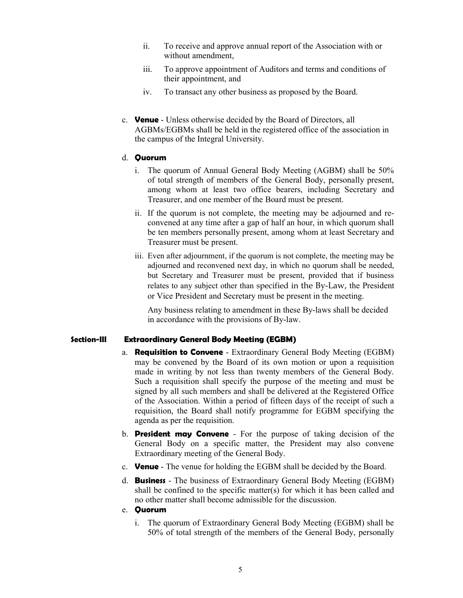- ii. To receive and approve annual report of the Association with or without amendment,
- iii. To approve appointment of Auditors and terms and conditions of their appointment, and
- iv. To transact any other business as proposed by the Board.
- c. **Venue** Unless otherwise decided by the Board of Directors, all AGBMs/EGBMs shall be held in the registered office of the association in the campus of the Integral University.

## d. Quorum

- i. The quorum of Annual General Body Meeting (AGBM) shall be 50% of total strength of members of the General Body, personally present, among whom at least two office bearers, including Secretary and Treasurer, and one member of the Board must be present.
- ii. If the quorum is not complete, the meeting may be adjourned and reconvened at any time after a gap of half an hour, in which quorum shall be ten members personally present, among whom at least Secretary and Treasurer must be present.
- iii. Even after adjournment, if the quorum is not complete, the meeting may be adjourned and reconvened next day, in which no quorum shall be needed, but Secretary and Treasurer must be present, provided that if business relates to any subject other than specified in the By-Law, the President or Vice President and Secretary must be present in the meeting.

Any business relating to amendment in these By-laws shall be decided in accordance with the provisions of By-law.

## Section-III Extraordinary General Body Meeting (EGBM)

- a. **Requisition to Convene** Extraordinary General Body Meeting (EGBM) may be convened by the Board of its own motion or upon a requisition made in writing by not less than twenty members of the General Body. Such a requisition shall specify the purpose of the meeting and must be signed by all such members and shall be delivered at the Registered Office of the Association. Within a period of fifteen days of the receipt of such a requisition, the Board shall notify programme for EGBM specifying the agenda as per the requisition.
- b. President may Convene For the purpose of taking decision of the General Body on a specific matter, the President may also convene Extraordinary meeting of the General Body.
- c. **Venue** The venue for holding the EGBM shall be decided by the Board.
- d. **Business** The business of Extraordinary General Body Meeting (EGBM) shall be confined to the specific matter(s) for which it has been called and no other matter shall become admissible for the discussion.
- e. Quorum
	- i. The quorum of Extraordinary General Body Meeting (EGBM) shall be 50% of total strength of the members of the General Body, personally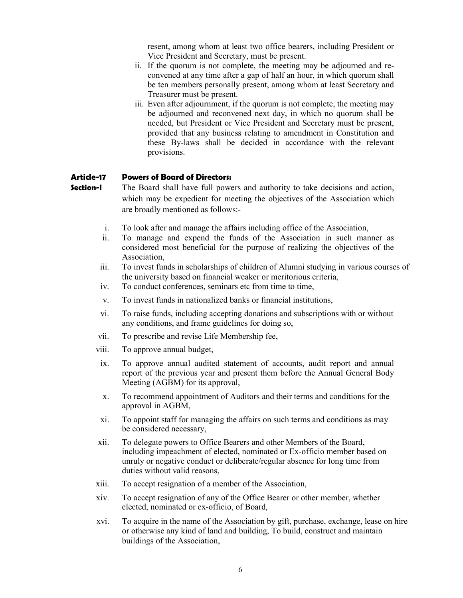resent, among whom at least two office bearers, including President or Vice President and Secretary, must be present.

- ii. If the quorum is not complete, the meeting may be adjourned and reconvened at any time after a gap of half an hour, in which quorum shall be ten members personally present, among whom at least Secretary and Treasurer must be present.
- iii. Even after adjournment, if the quorum is not complete, the meeting may be adjourned and reconvened next day, in which no quorum shall be needed, but President or Vice President and Secretary must be present, provided that any business relating to amendment in Constitution and these By-laws shall be decided in accordance with the relevant provisions.

#### Article-17 Powers of Board of Directors:

- **Section-I** The Board shall have full powers and authority to take decisions and action, which may be expedient for meeting the objectives of the Association which are broadly mentioned as follows:
	- i. To look after and manage the affairs including office of the Association,
	- ii. To manage and expend the funds of the Association in such manner as considered most beneficial for the purpose of realizing the objectives of the Association,
	- iii. To invest funds in scholarships of children of Alumni studying in various courses of the university based on financial weaker or meritorious criteria,
	- iv. To conduct conferences, seminars etc from time to time,
	- v. To invest funds in nationalized banks or financial institutions,
	- vi. To raise funds, including accepting donations and subscriptions with or without any conditions, and frame guidelines for doing so,
	- vii. To prescribe and revise Life Membership fee,
	- viii. To approve annual budget,
	- ix. To approve annual audited statement of accounts, audit report and annual report of the previous year and present them before the Annual General Body Meeting (AGBM) for its approval,
	- x. To recommend appointment of Auditors and their terms and conditions for the approval in AGBM,
	- xi. To appoint staff for managing the affairs on such terms and conditions as may be considered necessary,
	- xii. To delegate powers to Office Bearers and other Members of the Board, including impeachment of elected, nominated or Ex-officio member based on unruly or negative conduct or deliberate/regular absence for long time from duties without valid reasons,
	- xiii. To accept resignation of a member of the Association,
	- xiv. To accept resignation of any of the Office Bearer or other member, whether elected, nominated or ex-officio, of Board,
	- xvi. To acquire in the name of the Association by gift, purchase, exchange, lease on hire or otherwise any kind of land and building, To build, construct and maintain buildings of the Association,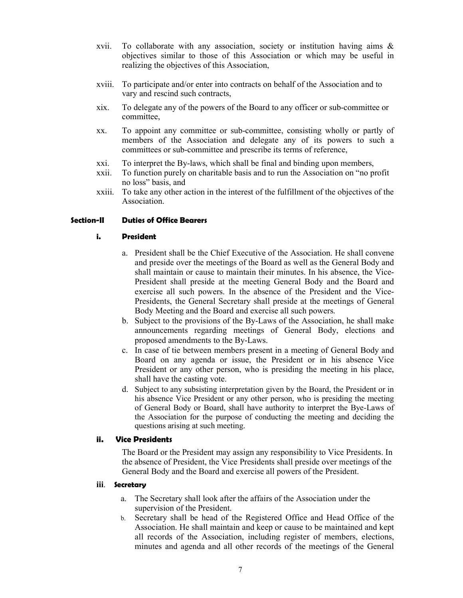- xvii. To collaborate with any association, society or institution having aims & objectives similar to those of this Association or which may be useful in realizing the objectives of this Association,
- xviii. To participate and/or enter into contracts on behalf of the Association and to vary and rescind such contracts,
- xix. To delegate any of the powers of the Board to any officer or sub-committee or committee,
- xx. To appoint any committee or sub-committee, consisting wholly or partly of members of the Association and delegate any of its powers to such a committees or sub-committee and prescribe its terms of reference,
- xxi. To interpret the By-laws, which shall be final and binding upon members,
- xxii. To function purely on charitable basis and to run the Association on "no profit no loss" basis, and
- xxiii. To take any other action in the interest of the fulfillment of the objectives of the Association.

## Section-II Duties of Office Bearers

#### i. President

- a. President shall be the Chief Executive of the Association. He shall convene and preside over the meetings of the Board as well as the General Body and shall maintain or cause to maintain their minutes. In his absence, the Vice-President shall preside at the meeting General Body and the Board and exercise all such powers. In the absence of the President and the Vice-Presidents, the General Secretary shall preside at the meetings of General Body Meeting and the Board and exercise all such powers.
- b. Subject to the provisions of the By-Laws of the Association, he shall make announcements regarding meetings of General Body, elections and proposed amendments to the By-Laws.
- c. In case of tie between members present in a meeting of General Body and Board on any agenda or issue, the President or in his absence Vice President or any other person, who is presiding the meeting in his place, shall have the casting vote.
- d. Subject to any subsisting interpretation given by the Board, the President or in his absence Vice President or any other person, who is presiding the meeting of General Body or Board, shall have authority to interpret the Bye-Laws of the Association for the purpose of conducting the meeting and deciding the questions arising at such meeting.

#### ii. Vice Presidents

The Board or the President may assign any responsibility to Vice Presidents. In the absence of President, the Vice Presidents shall preside over meetings of the General Body and the Board and exercise all powers of the President.

#### iii. Secretary

- a. The Secretary shall look after the affairs of the Association under the supervision of the President.
- b. Secretary shall be head of the Registered Office and Head Office of the Association. He shall maintain and keep or cause to be maintained and kept all records of the Association, including register of members, elections, minutes and agenda and all other records of the meetings of the General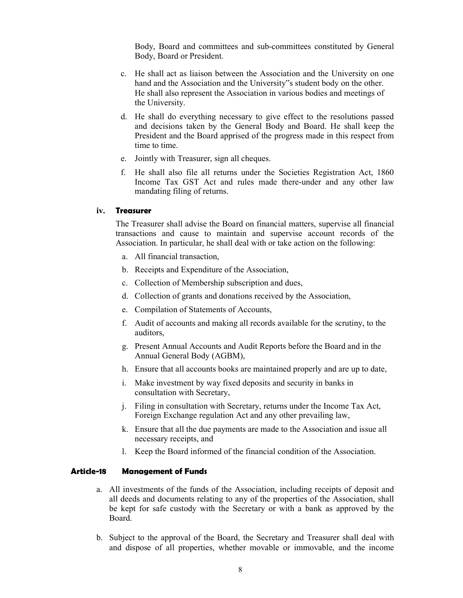Body, Board and committees and sub-committees constituted by General Body, Board or President.

- c. He shall act as liaison between the Association and the University on one hand and the Association and the University"s student body on the other. He shall also represent the Association in various bodies and meetings of the University.
- d. He shall do everything necessary to give effect to the resolutions passed and decisions taken by the General Body and Board. He shall keep the President and the Board apprised of the progress made in this respect from time to time.
- e. Jointly with Treasurer, sign all cheques.
- f. He shall also file all returns under the Societies Registration Act, 1860 Income Tax GST Act and rules made there-under and any other law mandating filing of returns.

#### iv. Treasurer

The Treasurer shall advise the Board on financial matters, supervise all financial transactions and cause to maintain and supervise account records of the Association. In particular, he shall deal with or take action on the following:

- a. All financial transaction,
- b. Receipts and Expenditure of the Association,
- c. Collection of Membership subscription and dues,
- d. Collection of grants and donations received by the Association,
- e. Compilation of Statements of Accounts,
- f. Audit of accounts and making all records available for the scrutiny, to the auditors,
- g. Present Annual Accounts and Audit Reports before the Board and in the Annual General Body (AGBM),
- h. Ensure that all accounts books are maintained properly and are up to date,
- i. Make investment by way fixed deposits and security in banks in consultation with Secretary,
- j. Filing in consultation with Secretary, returns under the Income Tax Act, Foreign Exchange regulation Act and any other prevailing law,
- k. Ensure that all the due payments are made to the Association and issue all necessary receipts, and
- l. Keep the Board informed of the financial condition of the Association.

#### Article-18 Management of Funds

- a. All investments of the funds of the Association, including receipts of deposit and all deeds and documents relating to any of the properties of the Association, shall be kept for safe custody with the Secretary or with a bank as approved by the Board.
- b. Subject to the approval of the Board, the Secretary and Treasurer shall deal with and dispose of all properties, whether movable or immovable, and the income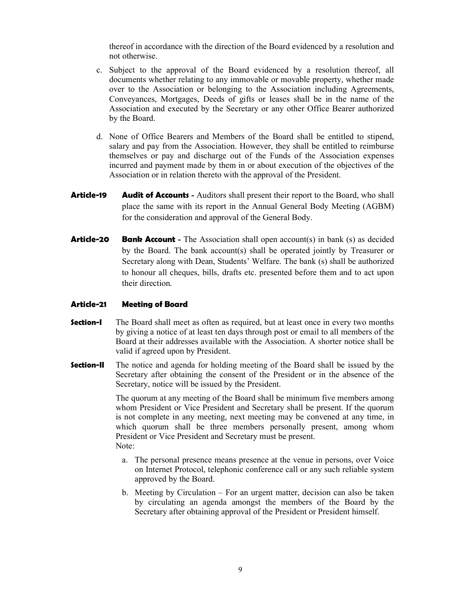thereof in accordance with the direction of the Board evidenced by a resolution and not otherwise.

- c. Subject to the approval of the Board evidenced by a resolution thereof, all documents whether relating to any immovable or movable property, whether made over to the Association or belonging to the Association including Agreements, Conveyances, Mortgages, Deeds of gifts or leases shall be in the name of the Association and executed by the Secretary or any other Office Bearer authorized by the Board.
- d. None of Office Bearers and Members of the Board shall be entitled to stipend, salary and pay from the Association. However, they shall be entitled to reimburse themselves or pay and discharge out of the Funds of the Association expenses incurred and payment made by them in or about execution of the objectives of the Association or in relation thereto with the approval of the President.
- Article-19 Audit of Accounts Auditors shall present their report to the Board, who shall place the same with its report in the Annual General Body Meeting (AGBM) for the consideration and approval of the General Body.
- **Article-20 Bank Account** The Association shall open account(s) in bank (s) as decided by the Board. The bank account(s) shall be operated jointly by Treasurer or Secretary along with Dean, Students' Welfare. The bank (s) shall be authorized to honour all cheques, bills, drafts etc. presented before them and to act upon their direction.

## Article-21 Meeting of Board

- **Section-I** The Board shall meet as often as required, but at least once in every two months by giving a notice of at least ten days through post or email to all members of the Board at their addresses available with the Association. A shorter notice shall be valid if agreed upon by President.
- **Section-II** The notice and agenda for holding meeting of the Board shall be issued by the Secretary after obtaining the consent of the President or in the absence of the Secretary, notice will be issued by the President.

The quorum at any meeting of the Board shall be minimum five members among whom President or Vice President and Secretary shall be present. If the quorum is not complete in any meeting, next meeting may be convened at any time, in which quorum shall be three members personally present, among whom President or Vice President and Secretary must be present. Note:

- a. The personal presence means presence at the venue in persons, over Voice on Internet Protocol, telephonic conference call or any such reliable system approved by the Board.
- b. Meeting by Circulation For an urgent matter, decision can also be taken by circulating an agenda amongst the members of the Board by the Secretary after obtaining approval of the President or President himself.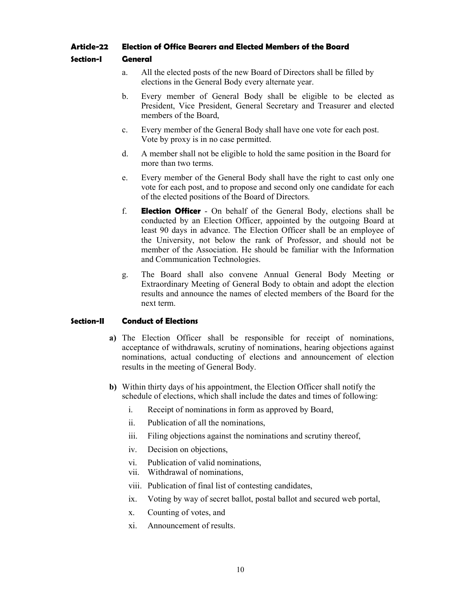## Article-22 Election of Office Bearers and Elected Members of the Board

## Section-I General

- a. All the elected posts of the new Board of Directors shall be filled by elections in the General Body every alternate year.
- b. Every member of General Body shall be eligible to be elected as President, Vice President, General Secretary and Treasurer and elected members of the Board,
- c. Every member of the General Body shall have one vote for each post. Vote by proxy is in no case permitted.
- d. A member shall not be eligible to hold the same position in the Board for more than two terms.
- e. Every member of the General Body shall have the right to cast only one vote for each post, and to propose and second only one candidate for each of the elected positions of the Board of Directors.
- f. **Election Officer** On behalf of the General Body, elections shall be conducted by an Election Officer, appointed by the outgoing Board at least 90 days in advance. The Election Officer shall be an employee of the University, not below the rank of Professor, and should not be member of the Association. He should be familiar with the Information and Communication Technologies.
- g. The Board shall also convene Annual General Body Meeting or Extraordinary Meeting of General Body to obtain and adopt the election results and announce the names of elected members of the Board for the next term.

## Section-II Conduct of Elections

- a) The Election Officer shall be responsible for receipt of nominations, acceptance of withdrawals, scrutiny of nominations, hearing objections against nominations, actual conducting of elections and announcement of election results in the meeting of General Body.
- b) Within thirty days of his appointment, the Election Officer shall notify the schedule of elections, which shall include the dates and times of following:
	- i. Receipt of nominations in form as approved by Board,
	- ii. Publication of all the nominations,
	- iii. Filing objections against the nominations and scrutiny thereof,
	- iv. Decision on objections,
	- vi. Publication of valid nominations,
	- vii. Withdrawal of nominations,
	- viii. Publication of final list of contesting candidates,
	- ix. Voting by way of secret ballot, postal ballot and secured web portal,
	- x. Counting of votes, and
	- xi. Announcement of results.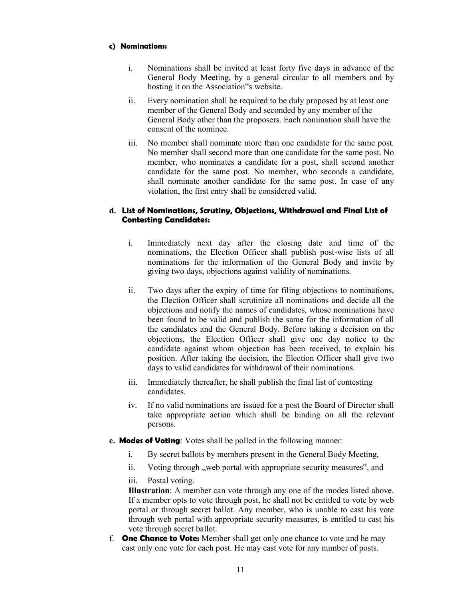## c) Nominations:

- i. Nominations shall be invited at least forty five days in advance of the General Body Meeting, by a general circular to all members and by hosting it on the Association"s website.
- ii. Every nomination shall be required to be duly proposed by at least one member of the General Body and seconded by any member of the General Body other than the proposers. Each nomination shall have the consent of the nominee.
- iii. No member shall nominate more than one candidate for the same post. No member shall second more than one candidate for the same post. No member, who nominates a candidate for a post, shall second another candidate for the same post. No member, who seconds a candidate, shall nominate another candidate for the same post. In case of any violation, the first entry shall be considered valid.

## d. List of Nominations, Scrutiny, Objections, Withdrawal and Final List of Contesting Candidates:

- i. Immediately next day after the closing date and time of the nominations, the Election Officer shall publish post-wise lists of all nominations for the information of the General Body and invite by giving two days, objections against validity of nominations.
- ii. Two days after the expiry of time for filing objections to nominations, the Election Officer shall scrutinize all nominations and decide all the objections and notify the names of candidates, whose nominations have been found to be valid and publish the same for the information of all the candidates and the General Body. Before taking a decision on the objections, the Election Officer shall give one day notice to the candidate against whom objection has been received, to explain his position. After taking the decision, the Election Officer shall give two days to valid candidates for withdrawal of their nominations.
- iii. Immediately thereafter, he shall publish the final list of contesting candidates.
- iv. If no valid nominations are issued for a post the Board of Director shall take appropriate action which shall be binding on all the relevant persons.
- e. Modes of Voting: Votes shall be polled in the following manner:
	- i. By secret ballots by members present in the General Body Meeting,
	- ii. Voting through , web portal with appropriate security measures", and
	- iii. Postal voting.

Illustration: A member can vote through any one of the modes listed above. If a member opts to vote through post, he shall not be entitled to vote by web portal or through secret ballot. Any member, who is unable to cast his vote through web portal with appropriate security measures, is entitled to cast his vote through secret ballot.

f. **One Chance to Vote:** Member shall get only one chance to vote and he may cast only one vote for each post. He may cast vote for any number of posts.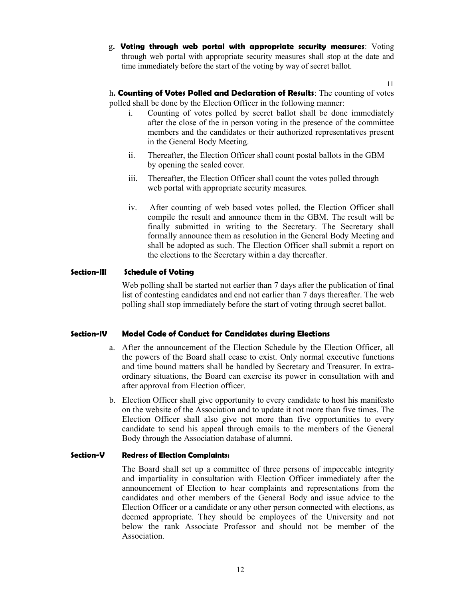g. Voting through web portal with appropriate security measures: Voting through web portal with appropriate security measures shall stop at the date and time immediately before the start of the voting by way of secret ballot.

11

h. Counting of Votes Polled and Declaration of Results: The counting of votes polled shall be done by the Election Officer in the following manner:

- i. Counting of votes polled by secret ballot shall be done immediately after the close of the in person voting in the presence of the committee members and the candidates or their authorized representatives present in the General Body Meeting.
- ii. Thereafter, the Election Officer shall count postal ballots in the GBM by opening the sealed cover.
- iii. Thereafter, the Election Officer shall count the votes polled through web portal with appropriate security measures.
- iv. After counting of web based votes polled, the Election Officer shall compile the result and announce them in the GBM. The result will be finally submitted in writing to the Secretary. The Secretary shall formally announce them as resolution in the General Body Meeting and shall be adopted as such. The Election Officer shall submit a report on the elections to the Secretary within a day thereafter.

## Section-III Schedule of Voting

Web polling shall be started not earlier than 7 days after the publication of final list of contesting candidates and end not earlier than 7 days thereafter. The web polling shall stop immediately before the start of voting through secret ballot.

#### Section-IV Model Code of Conduct for Candidates during Elections

- a. After the announcement of the Election Schedule by the Election Officer, all the powers of the Board shall cease to exist. Only normal executive functions and time bound matters shall be handled by Secretary and Treasurer. In extraordinary situations, the Board can exercise its power in consultation with and after approval from Election officer.
- b. Election Officer shall give opportunity to every candidate to host his manifesto on the website of the Association and to update it not more than five times. The Election Officer shall also give not more than five opportunities to every candidate to send his appeal through emails to the members of the General Body through the Association database of alumni.

#### Section-V Redress of Election Complaints:

The Board shall set up a committee of three persons of impeccable integrity and impartiality in consultation with Election Officer immediately after the announcement of Election to hear complaints and representations from the candidates and other members of the General Body and issue advice to the Election Officer or a candidate or any other person connected with elections, as deemed appropriate. They should be employees of the University and not below the rank Associate Professor and should not be member of the Association.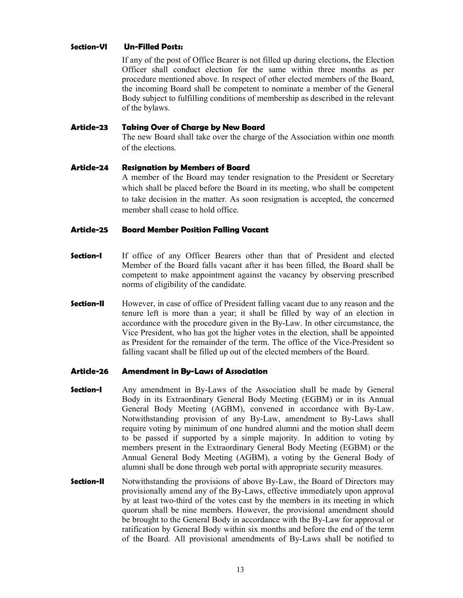## Section-VI Un-Filled Posts:

If any of the post of Office Bearer is not filled up during elections, the Election Officer shall conduct election for the same within three months as per procedure mentioned above. In respect of other elected members of the Board, the incoming Board shall be competent to nominate a member of the General Body subject to fulfilling conditions of membership as described in the relevant of the bylaws.

#### Article-23 Taking Over of Charge by New Board

The new Board shall take over the charge of the Association within one month of the elections.

## Article-24 Resignation by Members of Board

A member of the Board may tender resignation to the President or Secretary which shall be placed before the Board in its meeting, who shall be competent to take decision in the matter. As soon resignation is accepted, the concerned member shall cease to hold office.

#### Article-25 Board Member Position Falling Vacant

- **Section-I** If office of any Officer Bearers other than that of President and elected Member of the Board falls vacant after it has been filled, the Board shall be competent to make appointment against the vacancy by observing prescribed norms of eligibility of the candidate.
- **Section-II** However, in case of office of President falling vacant due to any reason and the tenure left is more than a year; it shall be filled by way of an election in accordance with the procedure given in the By-Law. In other circumstance, the Vice President, who has got the higher votes in the election, shall be appointed as President for the remainder of the term. The office of the Vice-President so falling vacant shall be filled up out of the elected members of the Board.

#### Article-26 Amendment in By-Laws of Association

- **Section-I** Any amendment in By-Laws of the Association shall be made by General Body in its Extraordinary General Body Meeting (EGBM) or in its Annual General Body Meeting (AGBM), convened in accordance with By-Law. Notwithstanding provision of any By-Law, amendment to By-Laws shall require voting by minimum of one hundred alumni and the motion shall deem to be passed if supported by a simple majority. In addition to voting by members present in the Extraordinary General Body Meeting (EGBM) or the Annual General Body Meeting (AGBM), a voting by the General Body of alumni shall be done through web portal with appropriate security measures.
- **Section-II** Notwithstanding the provisions of above By-Law, the Board of Directors may provisionally amend any of the By-Laws, effective immediately upon approval by at least two-third of the votes cast by the members in its meeting in which quorum shall be nine members. However, the provisional amendment should be brought to the General Body in accordance with the By-Law for approval or ratification by General Body within six months and before the end of the term of the Board. All provisional amendments of By-Laws shall be notified to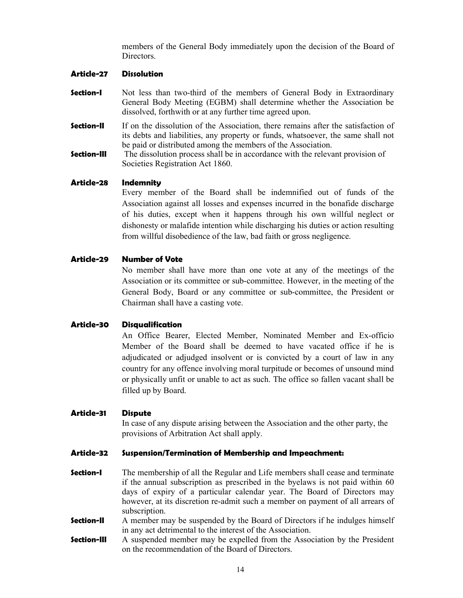members of the General Body immediately upon the decision of the Board of Directors.

#### Article-27 Dissolution

- **Section-I** Not less than two-third of the members of General Body in Extraordinary General Body Meeting (EGBM) shall determine whether the Association be dissolved, forthwith or at any further time agreed upon.
- **Section-II** If on the dissolution of the Association, there remains after the satisfaction of its debts and liabilities, any property or funds, whatsoever, the same shall not be paid or distributed among the members of the Association.
- **Section-III** The dissolution process shall be in accordance with the relevant provision of Societies Registration Act 1860.

#### Article-28 Indemnity

Every member of the Board shall be indemnified out of funds of the Association against all losses and expenses incurred in the bonafide discharge of his duties, except when it happens through his own willful neglect or dishonesty or malafide intention while discharging his duties or action resulting from willful disobedience of the law, bad faith or gross negligence.

## Article-29 Number of Vote

 No member shall have more than one vote at any of the meetings of the Association or its committee or sub-committee. However, in the meeting of the General Body, Board or any committee or sub-committee, the President or Chairman shall have a casting vote.

#### Article-30 Disqualification

 An Office Bearer, Elected Member, Nominated Member and Ex-officio Member of the Board shall be deemed to have vacated office if he is adjudicated or adjudged insolvent or is convicted by a court of law in any country for any offence involving moral turpitude or becomes of unsound mind or physically unfit or unable to act as such. The office so fallen vacant shall be filled up by Board.

#### Article-31 Dispute

 In case of any dispute arising between the Association and the other party, the provisions of Arbitration Act shall apply.

#### Article-32 Suspension/Termination of Membership and Impeachment:

- **Section-I** The membership of all the Regular and Life members shall cease and terminate if the annual subscription as prescribed in the byelaws is not paid within 60 days of expiry of a particular calendar year. The Board of Directors may however, at its discretion re-admit such a member on payment of all arrears of subscription.
- **Section-II** A member may be suspended by the Board of Directors if he indulges himself in any act detrimental to the interest of the Association.
- **Section-III** A suspended member may be expelled from the Association by the President on the recommendation of the Board of Directors.